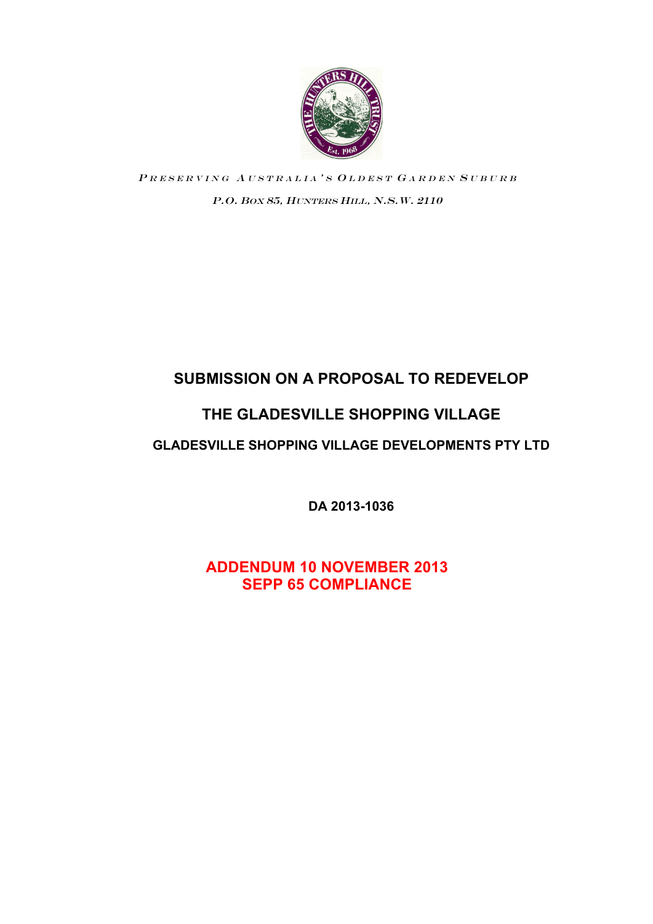

PRESERVING AUSTRALIA'S OLDEST GARDEN SUBURB P.O. BOX 85, HUNTERS HILL, N.S.W. 2110

# **SUBMISSION ON A PROPOSAL TO REDEVELOP**

# **THE GLADESVILLE SHOPPING VILLAGE**

# **GLADESVILLE SHOPPING VILLAGE DEVELOPMENTS PTY LTD**

**DA 2013-1036**

**ADDENDUM 10 NOVEMBER 2013 SEPP 65 COMPLIANCE**